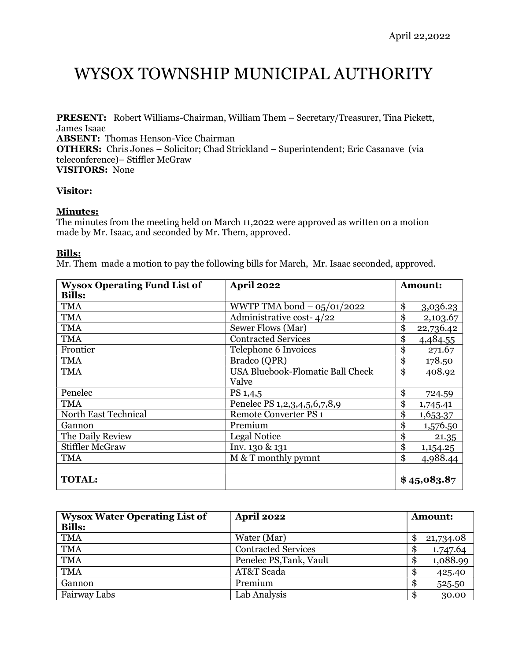# WYSOX TOWNSHIP MUNICIPAL AUTHORITY

PRESENT: Robert Williams-Chairman, William Them – Secretary/Treasurer, Tina Pickett, James Isaac

ABSENT: Thomas Henson-Vice Chairman

OTHERS: Chris Jones – Solicitor; Chad Strickland – Superintendent; Eric Casanave (via teleconference)– Stiffler McGraw

VISITORS: None

## Visitor:

# Minutes:

The minutes from the meeting held on March 11,2022 were approved as written on a motion made by Mr. Isaac, and seconded by Mr. Them, approved.

# Bills:

Mr. Them made a motion to pay the following bills for March, Mr. Isaac seconded, approved.

| <b>Wysox Operating Fund List of</b> | <b>April 2022</b>                       | Amount:         |
|-------------------------------------|-----------------------------------------|-----------------|
| <b>Bills:</b>                       |                                         |                 |
| <b>TMA</b>                          | WWTP TMA bond $-$ 05/01/2022            | \$<br>3,036.23  |
| <b>TMA</b>                          | Administrative cost-4/22                | \$<br>2,103.67  |
| <b>TMA</b>                          | Sewer Flows (Mar)                       | \$<br>22,736.42 |
| <b>TMA</b>                          | <b>Contracted Services</b>              | \$<br>4,484.55  |
| Frontier                            | Telephone 6 Invoices                    | \$<br>271.67    |
| <b>TMA</b>                          | Bradco (QPR)                            | \$<br>178.50    |
| <b>TMA</b>                          | <b>USA Bluebook-Flomatic Ball Check</b> | \$<br>408.92    |
|                                     | Valve                                   |                 |
| Penelec                             | PS 1,4,5                                | \$<br>724.59    |
| <b>TMA</b>                          | Penelec PS 1, 2, 3, 4, 5, 6, 7, 8, 9    | \$<br>1,745.41  |
| North East Technical                | <b>Remote Converter PS 1</b>            | \$<br>1,653.37  |
| Gannon                              | Premium                                 | \$<br>1,576.50  |
| The Daily Review                    | <b>Legal Notice</b>                     | \$<br>21.35     |
| <b>Stiffler McGraw</b>              | Inv. 130 & 131                          | \$<br>1,154.25  |
| <b>TMA</b>                          | M & T monthly pymnt                     | \$<br>4,988.44  |
|                                     |                                         |                 |
| <b>TOTAL:</b>                       |                                         | \$45,083.87     |

| <b>Wysox Water Operating List of</b><br><b>Bills:</b> | <b>April 2022</b>          | <b>Amount:</b>  |
|-------------------------------------------------------|----------------------------|-----------------|
| <b>TMA</b>                                            | Water (Mar)                | 21,734.08<br>\$ |
| <b>TMA</b>                                            | <b>Contracted Services</b> | 1.747.64<br>S   |
| <b>TMA</b>                                            | Penelec PS, Tank, Vault    | 1,088.99<br>\$  |
| <b>TMA</b>                                            | AT&T Scada                 | 425.40<br>\$    |
| Gannon                                                | Premium                    | 525.50<br>\$    |
| Fairway Labs                                          | Lab Analysis               | 30.00<br>\$.    |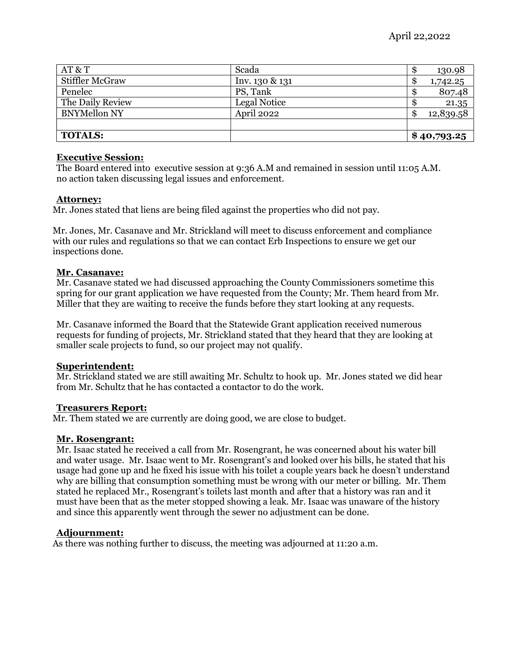| AT & T              | Scada          | 130.98<br>Ð     |
|---------------------|----------------|-----------------|
| Stiffler McGraw     | Inv. 130 & 131 | 1,742.25<br>S   |
| Penelec             | PS, Tank       | 807.48<br>\$.   |
| The Daily Review    | Legal Notice   | 21.35           |
| <b>BNYMellon NY</b> | April 2022     | 12,839.58<br>\$ |
|                     |                |                 |
| <b>TOTALS:</b>      |                | \$40,793.25     |

## Executive Session:

The Board entered into executive session at 9:36 A.M and remained in session until 11:05 A.M. no action taken discussing legal issues and enforcement.

## Attorney:

Mr. Jones stated that liens are being filed against the properties who did not pay.

Mr. Jones, Mr. Casanave and Mr. Strickland will meet to discuss enforcement and compliance with our rules and regulations so that we can contact Erb Inspections to ensure we get our inspections done.

#### Mr. Casanave:

Mr. Casanave stated we had discussed approaching the County Commissioners sometime this spring for our grant application we have requested from the County; Mr. Them heard from Mr. Miller that they are waiting to receive the funds before they start looking at any requests.

Mr. Casanave informed the Board that the Statewide Grant application received numerous requests for funding of projects, Mr. Strickland stated that they heard that they are looking at smaller scale projects to fund, so our project may not qualify.

## Superintendent:

Mr. Strickland stated we are still awaiting Mr. Schultz to hook up. Mr. Jones stated we did hear from Mr. Schultz that he has contacted a contactor to do the work.

#### Treasurers Report:

Mr. Them stated we are currently are doing good, we are close to budget.

## Mr. Rosengrant:

Mr. Isaac stated he received a call from Mr. Rosengrant, he was concerned about his water bill and water usage. Mr. Isaac went to Mr. Rosengrant's and looked over his bills, he stated that his usage had gone up and he fixed his issue with his toilet a couple years back he doesn't understand why are billing that consumption something must be wrong with our meter or billing. Mr. Them stated he replaced Mr., Rosengrant's toilets last month and after that a history was ran and it must have been that as the meter stopped showing a leak. Mr. Isaac was unaware of the history and since this apparently went through the sewer no adjustment can be done.

## Adjournment:

As there was nothing further to discuss, the meeting was adjourned at 11:20 a.m.